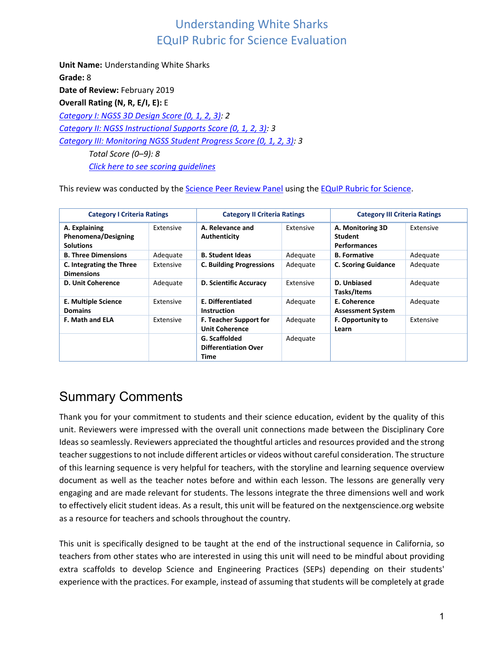**Unit Name:** Understanding White Sharks **Grade:** 8 Date of Review: February 2019 **Overall Rating (N, R, E/I, E):** E *Category I: NGSS 3D Design Score (0, 1, 2, 3): 2 Category II: NGSS Instructional Supports Score (0, 1, 2, 3): 3 [Category III: Monitoring NGSS Student Progress Score \(0, 1, 2, 3\):](#page-17-0) 3 Total Score (0*–*9): 8 [Click here to see scoring guidelines](#page-21-0)*

This review was conducted by the **Science Peer Review Panel using the EQuIP Rubric for Science**.

| <b>Category I Criteria Ratings</b>                              |           | <b>Category II Criteria Ratings</b>                    |           | <b>Category III Criteria Ratings</b>                      |           |
|-----------------------------------------------------------------|-----------|--------------------------------------------------------|-----------|-----------------------------------------------------------|-----------|
| A. Explaining<br><b>Phenomena/Designing</b><br><b>Solutions</b> | Extensive | A. Relevance and<br>Authenticity                       | Extensive | A. Monitoring 3D<br><b>Student</b><br><b>Performances</b> | Extensive |
| <b>B. Three Dimensions</b>                                      | Adequate  | <b>B. Student Ideas</b>                                | Adequate  | <b>B.</b> Formative                                       | Adequate  |
| C. Integrating the Three<br><b>Dimensions</b>                   | Extensive | <b>C. Building Progressions</b>                        | Adequate  | <b>C. Scoring Guidance</b>                                | Adequate  |
| <b>D. Unit Coherence</b>                                        | Adequate  | <b>D. Scientific Accuracy</b>                          | Extensive | D. Unbiased<br>Tasks/Items                                | Adequate  |
| E. Multiple Science<br><b>Domains</b>                           | Extensive | E. Differentiated<br><b>Instruction</b>                | Adequate  | E. Coherence<br><b>Assessment System</b>                  | Adequate  |
| <b>F. Math and ELA</b>                                          | Extensive | <b>F. Teacher Support for</b><br><b>Unit Coherence</b> | Adequate  | <b>F. Opportunity to</b><br>Learn                         | Extensive |
|                                                                 |           | G. Scaffolded<br><b>Differentiation Over</b><br>Time   | Adequate  |                                                           |           |

# Summary Comments

Thank you for your commitment to students and their science education, evident by the quality of this unit. Reviewers were impressed with the overall unit connections made between the Disciplinary Core Ideas so seamlessly. Reviewers appreciated the thoughtful articles and resources provided and the strong teacher suggestions to not include different articles or videos without careful consideration. The structure of this learning sequence is very helpful for teachers, with the storyline and learning sequence overview document as well as the teacher notes before and within each lesson. The lessons are generally very engaging and are made relevant for students. The lessons integrate the three dimensions well and work to effectively elicit student ideas. As a result, this unit will be featured on the nextgenscience.org website as a resource for teachers and schools throughout the country.

This unit is specifically designed to be taught at the end of the instructional sequence in California, so teachers from other states who are interested in using this unit will need to be mindful about providing extra scaffolds to develop Science and Engineering Practices (SEPs) depending on their students' experience with the practices. For example, instead of assuming that students will be completely at grade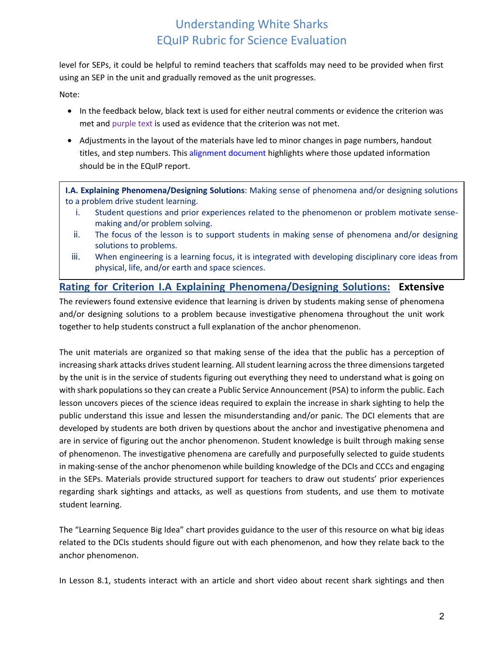level for SEPs, it could be helpful to remind teachers that scaffolds may need to be provided when first using an SEP in the unit and gradually removed as the unit progresses.

Note:

- In the feedback below, black text is used for either neutral comments or evidence the criterion was met and purple text is used as evidence that the criterion was not met.
- Adjustments in the layout of the materials have led to minor changes in page numbers, handout titles, and step numbers. This [alignment document](https://docs.google.com/document/d/1xdoCFcqkOH5ryPYKiuZwUjY28btEL9E_JAFXvJMtXdg/edit) highlights where those updated information should be in the EQuIP report.

**I.A. Explaining Phenomena/Designing Solutions**: Making sense of phenomena and/or designing solutions to a problem drive student learning.

- i. Student questions and prior experiences related to the phenomenon or problem motivate sensemaking and/or problem solving.
- ii. The focus of the lesson is to support students in making sense of phenomena and/or designing solutions to problems.
- iii. When engineering is a learning focus, it is integrated with developing disciplinary core ideas from physical, life, and/or earth and space sciences.

### **Rating for Criterion I.A Explaining Phenomena/Designing Solutions: Extensive**

The reviewers found extensive evidence that learning is driven by students making sense of phenomena and/or designing solutions to a problem because investigative phenomena throughout the unit work together to help students construct a full explanation of the anchor phenomenon.

The unit materials are organized so that making sense of the idea that the public has a perception of increasing shark attacks drives student learning. All student learning across the three dimensions targeted by the unit is in the service of students figuring out everything they need to understand what is going on with shark populations so they can create a Public Service Announcement (PSA) to inform the public. Each lesson uncovers pieces of the science ideas required to explain the increase in shark sighting to help the public understand this issue and lessen the misunderstanding and/or panic. The DCI elements that are developed by students are both driven by questions about the anchor and investigative phenomena and are in service of figuring out the anchor phenomenon. Student knowledge is built through making sense of phenomenon. The investigative phenomena are carefully and purposefully selected to guide students in making-sense of the anchor phenomenon while building knowledge of the DCIs and CCCs and engaging in the SEPs. Materials provide structured support for teachers to draw out students' prior experiences regarding shark sightings and attacks, as well as questions from students, and use them to motivate student learning.

The "Learning Sequence Big Idea" chart provides guidance to the user of this resource on what big ideas related to the DCIs students should figure out with each phenomenon, and how they relate back to the anchor phenomenon.

In Lesson 8.1, students interact with an article and short video about recent shark sightings and then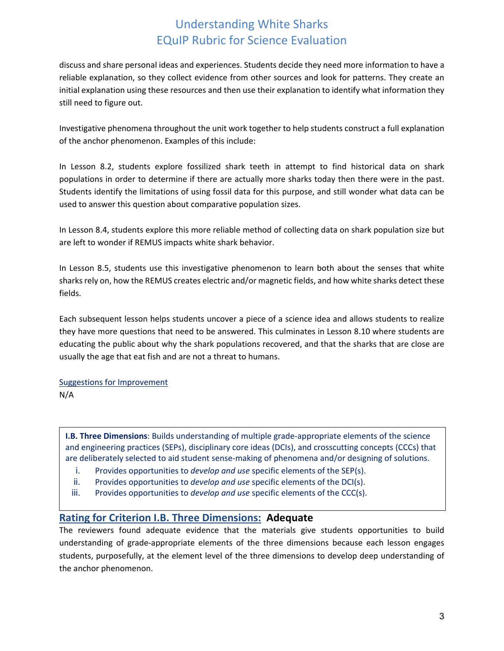discuss and share personal ideas and experiences. Students decide they need more information to have a reliable explanation, so they collect evidence from other sources and look for patterns. They create an initial explanation using these resources and then use their explanation to identify what information they still need to figure out.

Investigative phenomena throughout the unit work together to help students construct a full explanation of the anchor phenomenon. Examples of this include:

In Lesson 8.2, students explore fossilized shark teeth in attempt to find historical data on shark populations in order to determine if there are actually more sharks today then there were in the past. Students identify the limitations of using fossil data for this purpose, and still wonder what data can be used to answer this question about comparative population sizes.

In Lesson 8.4, students explore this more reliable method of collecting data on shark population size but are left to wonder if REMUS impacts white shark behavior.

In Lesson 8.5, students use this investigative phenomenon to learn both about the senses that white sharks rely on, how the REMUS creates electric and/or magnetic fields, and how white sharks detect these fields.

Each subsequent lesson helps students uncover a piece of a science idea and allows students to realize they have more questions that need to be answered. This culminates in Lesson 8.10 where students are educating the public about why the shark populations recovered, and that the sharks that are close are usually the age that eat fish and are not a threat to humans.

# Suggestions for Improvement

N/A

**I.B. Three Dimensions**: Builds understanding of multiple grade-appropriate elements of the science and engineering practices (SEPs), disciplinary core ideas (DCIs), and crosscutting concepts (CCCs) that are deliberately selected to aid student sense-making of phenomena and/or designing of solutions.

- i. Provides opportunities to *develop and use* specific elements of the SEP(s).
- ii. Provides opportunities to *develop and use* specific elements of the DCI(s).
- iii. Provides opportunities to *develop and use* specific elements of the CCC(s).

### **Rating for Criterion I.B. Three Dimensions: Adequate**

The reviewers found adequate evidence that the materials give students opportunities to build understanding of grade-appropriate elements of the three dimensions because each lesson engages students, purposefully, at the element level of the three dimensions to develop deep understanding of the anchor phenomenon.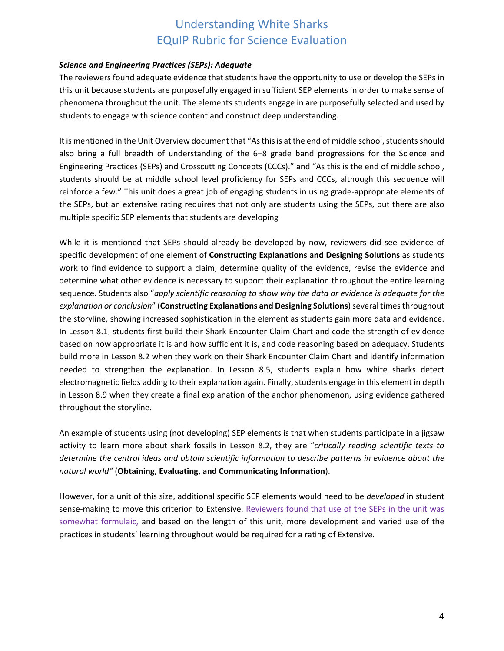#### *Science and Engineering Practices (SEPs): Adequate*

The reviewers found adequate evidence that students have the opportunity to use or develop the SEPs in this unit because students are purposefully engaged in sufficient SEP elements in order to make sense of phenomena throughout the unit. The elements students engage in are purposefully selected and used by students to engage with science content and construct deep understanding.

It is mentioned in the Unit Overview document that "As this is at the end of middle school, students should also bring a full breadth of understanding of the 6–8 grade band progressions for the Science and Engineering Practices (SEPs) and Crosscutting Concepts (CCCs)." and "As this is the end of middle school, students should be at middle school level proficiency for SEPs and CCCs, although this sequence will reinforce a few." This unit does a great job of engaging students in using grade-appropriate elements of the SEPs, but an extensive rating requires that not only are students using the SEPs, but there are also multiple specific SEP elements that students are developing

While it is mentioned that SEPs should already be developed by now, reviewers did see evidence of specific development of one element of **Constructing Explanations and Designing Solutions** as students work to find evidence to support a claim, determine quality of the evidence, revise the evidence and determine what other evidence is necessary to support their explanation throughout the entire learning sequence. Students also "*apply scientific reasoning to show why the data or evidence is adequate for the explanation or conclusion*" (**Constructing Explanations and Designing Solutions**) several times throughout the storyline, showing increased sophistication in the element as students gain more data and evidence. In Lesson 8.1, students first build their Shark Encounter Claim Chart and code the strength of evidence based on how appropriate it is and how sufficient it is, and code reasoning based on adequacy. Students build more in Lesson 8.2 when they work on their Shark Encounter Claim Chart and identify information needed to strengthen the explanation. In Lesson 8.5, students explain how white sharks detect electromagnetic fields adding to their explanation again. Finally, students engage in this element in depth in Lesson 8.9 when they create a final explanation of the anchor phenomenon, using evidence gathered throughout the storyline.

An example of students using (not developing) SEP elements is that when students participate in a jigsaw activity to learn more about shark fossils in Lesson 8.2, they are "*critically reading scientific texts to determine the central ideas and obtain scientific information to describe patterns in evidence about the natural world"* (**Obtaining, Evaluating, and Communicating Information**).

However, for a unit of this size, additional specific SEP elements would need to be *developed* in student sense-making to move this criterion to Extensive. Reviewers found that use of the SEPs in the unit was somewhat formulaic, and based on the length of this unit, more development and varied use of the practices in students' learning throughout would be required for a rating of Extensive.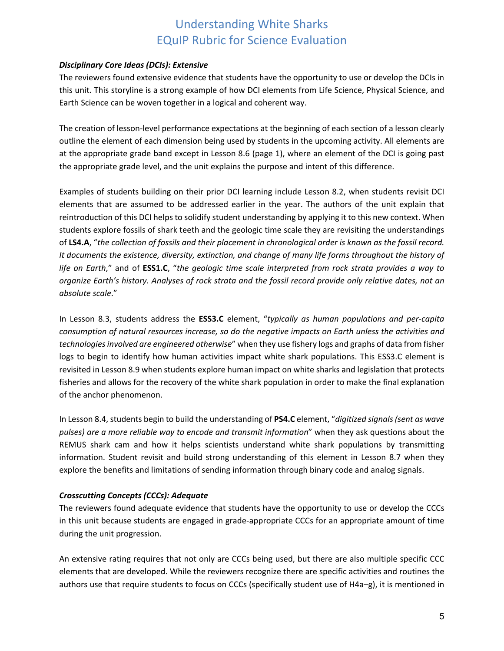#### *Disciplinary Core Ideas (DCIs): Extensive*

The reviewers found extensive evidence that students have the opportunity to use or develop the DCIs in this unit. This storyline is a strong example of how DCI elements from Life Science, Physical Science, and Earth Science can be woven together in a logical and coherent way.

The creation of lesson-level performance expectations at the beginning of each section of a lesson clearly outline the element of each dimension being used by students in the upcoming activity. All elements are at the appropriate grade band except in Lesson 8.6 (page 1), where an element of the DCI is going past the appropriate grade level, and the unit explains the purpose and intent of this difference.

Examples of students building on their prior DCI learning include Lesson 8.2, when students revisit DCI elements that are assumed to be addressed earlier in the year. The authors of the unit explain that reintroduction of this DCI helps to solidify student understanding by applying it to this new context. When students explore fossils of shark teeth and the geologic time scale they are revisiting the understandings of **LS4.A**, "*the collection of fossils and their placement in chronological order is known as the fossil record. It documents the existence, diversity, extinction, and change of many life forms throughout the history of life on Earth*," and of **ESS1.C**, "*the geologic time scale interpreted from rock strata provides a way to organize Earth's history. Analyses of rock strata and the fossil record provide only relative dates, not an absolute scale*."

In Lesson 8.3, students address the **ESS3.C** element, "*typically as human populations and per-capita consumption of natural resources increase, so do the negative impacts on Earth unless the activities and technologies involved are engineered otherwise*" when they use fishery logs and graphs of data from fisher logs to begin to identify how human activities impact white shark populations. This ESS3.C element is revisited in Lesson 8.9 when students explore human impact on white sharks and legislation that protects fisheries and allows for the recovery of the white shark population in order to make the final explanation of the anchor phenomenon.

In Lesson 8.4, students begin to build the understanding of **PS4.C** element, "*digitized signals (sent as wave pulses) are a more reliable way to encode and transmit information*" when they ask questions about the REMUS shark cam and how it helps scientists understand white shark populations by transmitting information. Student revisit and build strong understanding of this element in Lesson 8.7 when they explore the benefits and limitations of sending information through binary code and analog signals.

### *Crosscutting Concepts (CCCs): Adequate*

The reviewers found adequate evidence that students have the opportunity to use or develop the CCCs in this unit because students are engaged in grade-appropriate CCCs for an appropriate amount of time during the unit progression.

An extensive rating requires that not only are CCCs being used, but there are also multiple specific CCC elements that are developed. While the reviewers recognize there are specific activities and routines the authors use that require students to focus on CCCs (specifically student use of H4a–g), it is mentioned in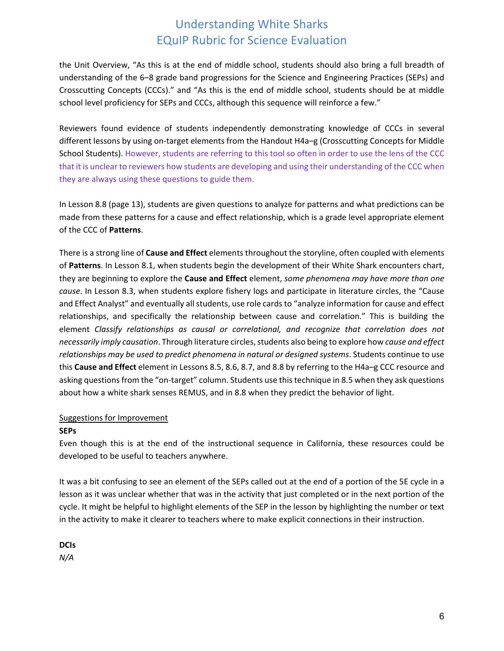the Unit Overview, "As this is at the end of middle school, students should also bring a full breadth of understanding of the 6–8 grade band progressions for the Science and Engineering Practices (SEPs) and Crosscutting Concepts (CCCs)." and "As this is the end of middle school, students should be at middle school level proficiency for SEPs and CCCs, although this sequence will reinforce a few."

Reviewers found evidence of students independently demonstrating knowledge of CCCs in several different lessons by using on-target elements from the Handout H4a–g (Crosscutting Concepts for Middle School Students). However, students are referring to this tool so often in order to use the lens of the CCC that it is unclear to reviewers how students are developing and using their understanding of the CCC when they are always using these questions to guide them.

In Lesson 8.8 (page 13), students are given questions to analyze for patterns and what predictions can be made from these patterns for a cause and effect relationship, which is a grade level appropriate element of the CCC of **Patterns**.

There is a strong line of **Cause and Effect** elements throughout the storyline, often coupled with elements of **Patterns**. In Lesson 8.1, when students begin the development of their White Shark encounters chart, they are beginning to explore the **Cause and Effect** element, *some phenomena may have more than one cause*. In Lesson 8.3, when students explore fishery logs and participate in literature circles, the "Cause and Effect Analyst" and eventually all students, use role cards to "analyze information for cause and effect relationships, and specifically the relationship between cause and correlation." This is building the element *Classify relationships as causal or correlational, and recognize that correlation does not necessarily imply causation*. Through literature circles, students also being to explore how *cause and effect relationships may be used to predict phenomena in natural or designed systems*. Students continue to use this **Cause and Effect** element in Lessons 8.5, 8.6, 8.7, and 8.8 by referring to the H4a–g CCC resource and asking questions from the "on-target" column. Students use this technique in 8.5 when they ask questions about how a white shark senses REMUS, and in 8.8 when they predict the behavior of light.

### Suggestions for Improvement

#### **SEPs**

Even though this is at the end of the instructional sequence in California, these resources could be developed to be useful to teachers anywhere.

It was a bit confusing to see an element of the SEPs called out at the end of a portion of the 5E cycle in a lesson as it was unclear whether that was in the activity that just completed or in the next portion of the cycle. It might be helpful to highlight elements of the SEP in the lesson by highlighting the number or text in the activity to make it clearer to teachers where to make explicit connections in their instruction.

**DCIs** *N/A*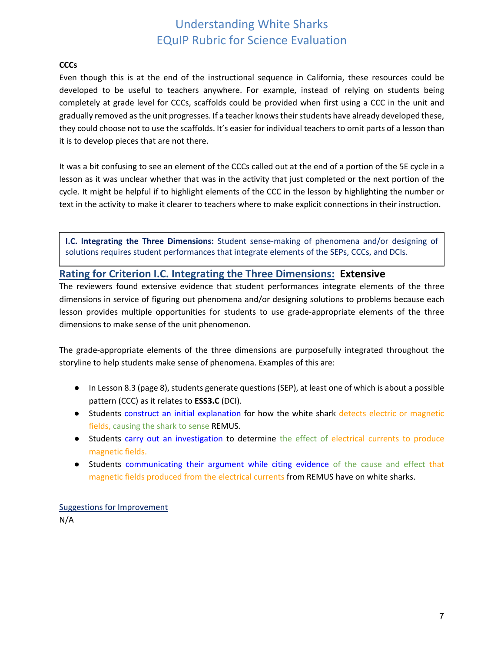#### **CCCs**

Even though this is at the end of the instructional sequence in California, these resources could be developed to be useful to teachers anywhere. For example, instead of relying on students being completely at grade level for CCCs, scaffolds could be provided when first using a CCC in the unit and gradually removed as the unit progresses. If a teacher knows their students have already developed these, they could choose not to use the scaffolds. It's easier for individual teachers to omit parts of a lesson than it is to develop pieces that are not there.

It was a bit confusing to see an element of the CCCs called out at the end of a portion of the 5E cycle in a lesson as it was unclear whether that was in the activity that just completed or the next portion of the cycle. It might be helpful if to highlight elements of the CCC in the lesson by highlighting the number or text in the activity to make it clearer to teachers where to make explicit connections in their instruction.

**I.C. Integrating the Three Dimensions:** Student sense-making of phenomena and/or designing of solutions requires student performances that integrate elements of the SEPs, CCCs, and DCIs.

### **Rating for Criterion I.C. Integrating the Three Dimensions: Extensive**

The reviewers found extensive evidence that student performances integrate elements of the three dimensions in service of figuring out phenomena and/or designing solutions to problems because each lesson provides multiple opportunities for students to use grade-appropriate elements of the three dimensions to make sense of the unit phenomenon.

The grade-appropriate elements of the three dimensions are purposefully integrated throughout the storyline to help students make sense of phenomena. Examples of this are:

- In Lesson 8.3 (page 8), students generate questions (SEP), at least one of which is about a possible pattern (CCC) as it relates to **ESS3.C** (DCI).
- Students construct an initial explanation for how the white shark detects electric or magnetic fields, causing the shark to sense REMUS.
- Students carry out an investigation to determine the effect of electrical currents to produce magnetic fields.
- Students communicating their argument while citing evidence of the cause and effect that magnetic fields produced from the electrical currents from REMUS have on white sharks.

Suggestions for Improvement N/A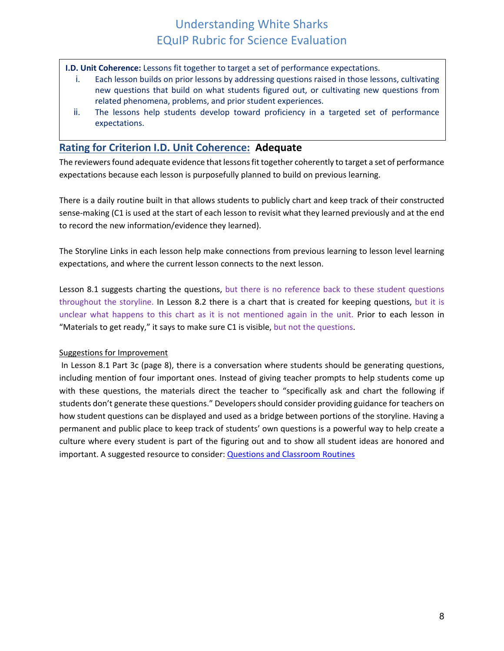**I.D. Unit Coherence:** Lessons fit together to target a set of performance expectations.

- i. Each lesson builds on prior lessons by addressing questions raised in those lessons, cultivating new questions that build on what students figured out, or cultivating new questions from related phenomena, problems, and prior student experiences.
- ii. The lessons help students develop toward proficiency in a targeted set of performance expectations.

### **Rating for Criterion I.D. Unit Coherence: Adequate**

The reviewers found adequate evidence that lessons fit together coherently to target a set of performance expectations because each lesson is purposefully planned to build on previous learning.

There is a daily routine built in that allows students to publicly chart and keep track of their constructed sense-making (C1 is used at the start of each lesson to revisit what they learned previously and at the end to record the new information/evidence they learned).

The Storyline Links in each lesson help make connections from previous learning to lesson level learning expectations, and where the current lesson connects to the next lesson.

Lesson 8.1 suggests charting the questions, but there is no reference back to these student questions throughout the storyline. In Lesson 8.2 there is a chart that is created for keeping questions, but it is unclear what happens to this chart as it is not mentioned again in the unit. Prior to each lesson in "Materials to get ready," it says to make sure C1 is visible, but not the questions.

### Suggestions for Improvement

In Lesson 8.1 Part 3c (page 8), there is a conversation where students should be generating questions, including mention of four important ones. Instead of giving teacher prompts to help students come up with these questions, the materials direct the teacher to "specifically ask and chart the following if students don't generate these questions." Developers should consider providing guidance for teachers on how student questions can be displayed and used as a bridge between portions of the storyline. Having a permanent and public place to keep track of students' own questions is a powerful way to help create a culture where every student is part of the figuring out and to show all student ideas are honored and important. A suggested resource to consider: **Questions and Classroom Routines**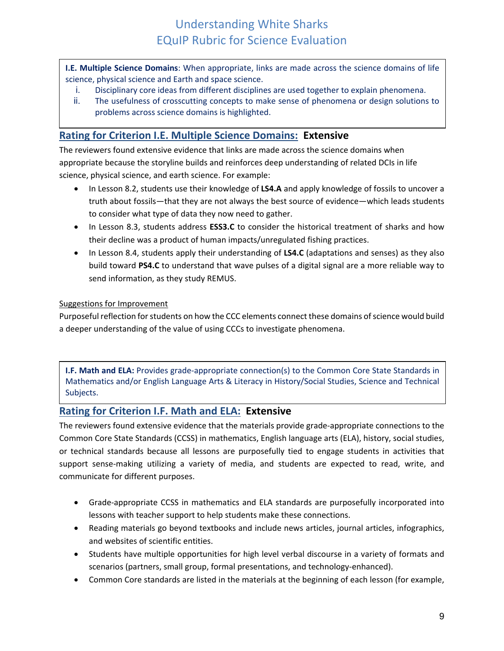**I.E. Multiple Science Domains**: When appropriate, links are made across the science domains of life science, physical science and Earth and space science.

- i. Disciplinary core ideas from different disciplines are used together to explain phenomena.
- ii. The usefulness of crosscutting concepts to make sense of phenomena or design solutions to problems across science domains is highlighted.

### **Rating for Criterion I.E. Multiple Science Domains: Extensive**

The reviewers found extensive evidence that links are made across the science domains when appropriate because the storyline builds and reinforces deep understanding of related DCIs in life science, physical science, and earth science. For example:

- In Lesson 8.2, students use their knowledge of **LS4.A** and apply knowledge of fossils to uncover a truth about fossils—that they are not always the best source of evidence—which leads students to consider what type of data they now need to gather.
- In Lesson 8.3, students address **ESS3.C** to consider the historical treatment of sharks and how their decline was a product of human impacts/unregulated fishing practices.
- In Lesson 8.4, students apply their understanding of **LS4.C** (adaptations and senses) as they also build toward **PS4.C** to understand that wave pulses of a digital signal are a more reliable way to send information, as they study REMUS.

### Suggestions for Improvement

Purposeful reflection for students on how the CCC elements connect these domains of science would build a deeper understanding of the value of using CCCs to investigate phenomena.

**I.F. Math and ELA:** Provides grade-appropriate connection(s) to the Common Core State Standards in Mathematics and/or English Language Arts & Literacy in History/Social Studies, Science and Technical Subjects.

### **Rating for Criterion I.F. Math and ELA: Extensive**

The reviewers found extensive evidence that the materials provide grade-appropriate connections to the Common Core State Standards (CCSS) in mathematics, English language arts (ELA), history, social studies, or technical standards because all lessons are purposefully tied to engage students in activities that support sense-making utilizing a variety of media, and students are expected to read, write, and communicate for different purposes.

- Grade-appropriate CCSS in mathematics and ELA standards are purposefully incorporated into lessons with teacher support to help students make these connections.
- Reading materials go beyond textbooks and include news articles, journal articles, infographics, and websites of scientific entities.
- Students have multiple opportunities for high level verbal discourse in a variety of formats and scenarios (partners, small group, formal presentations, and technology-enhanced).
- Common Core standards are listed in the materials at the beginning of each lesson (for example,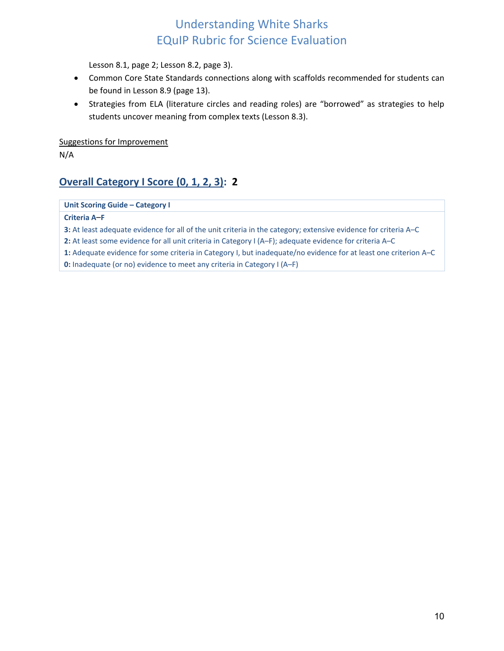Lesson 8.1, page 2; Lesson 8.2, page 3).

- Common Core State Standards connections along with scaffolds recommended for students can be found in Lesson 8.9 (page 13).
- Strategies from ELA (literature circles and reading roles) are "borrowed" as strategies to help students uncover meaning from complex texts (Lesson 8.3).

Suggestions for Improvement

N/A

## **Overall Category I Score (0, 1, 2, 3): 2**

**Unit Scoring Guide – Category I**

#### **Criteria A**–**F**

**3:** At least adequate evidence for all of the unit criteria in the category; extensive evidence for criteria A–C

**2:** At least some evidence for all unit criteria in Category I (A–F); adequate evidence for criteria A–C

**1:** Adequate evidence for some criteria in Category I, but inadequate/no evidence for at least one criterion A–C

**0:** Inadequate (or no) evidence to meet any criteria in Category I (A–F)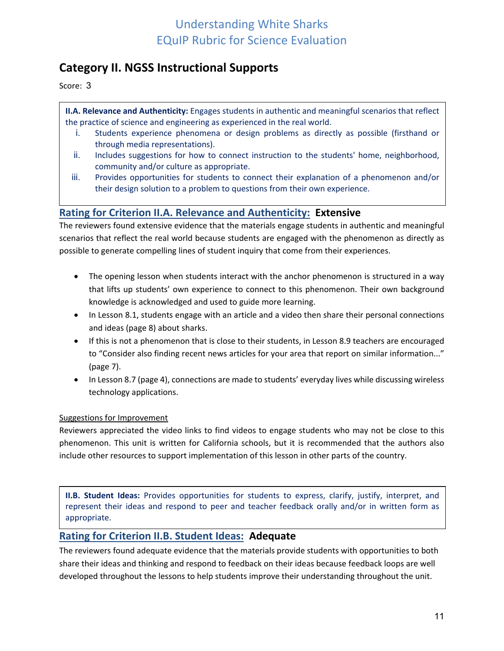## **Category II. NGSS Instructional Supports**

Score: 3

**II.A. Relevance and Authenticity:** Engages students in authentic and meaningful scenarios that reflect the practice of science and engineering as experienced in the real world.

- i. Students experience phenomena or design problems as directly as possible (firsthand or through media representations).
- ii. Includes suggestions for how to connect instruction to the students' home, neighborhood, community and/or culture as appropriate.
- iii. Provides opportunities for students to connect their explanation of a phenomenon and/or their design solution to a problem to questions from their own experience.

### **Rating for Criterion II.A. Relevance and Authenticity: Extensive**

The reviewers found extensive evidence that the materials engage students in authentic and meaningful scenarios that reflect the real world because students are engaged with the phenomenon as directly as possible to generate compelling lines of student inquiry that come from their experiences.

- The opening lesson when students interact with the anchor phenomenon is structured in a way that lifts up students' own experience to connect to this phenomenon. Their own background knowledge is acknowledged and used to guide more learning.
- In Lesson 8.1, students engage with an article and a video then share their personal connections and ideas (page 8) about sharks.
- If this is not a phenomenon that is close to their students, in Lesson 8.9 teachers are encouraged to "Consider also finding recent news articles for your area that report on similar information..." (page 7).
- In Lesson 8.7 (page 4), connections are made to students' everyday lives while discussing wireless technology applications.

### Suggestions for Improvement

Reviewers appreciated the video links to find videos to engage students who may not be close to this phenomenon. This unit is written for California schools, but it is recommended that the authors also include other resources to support implementation of this lesson in other parts of the country.

**II.B. Student Ideas:** Provides opportunities for students to express, clarify, justify, interpret, and represent their ideas and respond to peer and teacher feedback orally and/or in written form as appropriate.

### **Rating for Criterion II.B. Student Ideas: Adequate**

The reviewers found adequate evidence that the materials provide students with opportunities to both share their ideas and thinking and respond to feedback on their ideas because feedback loops are well developed throughout the lessons to help students improve their understanding throughout the unit.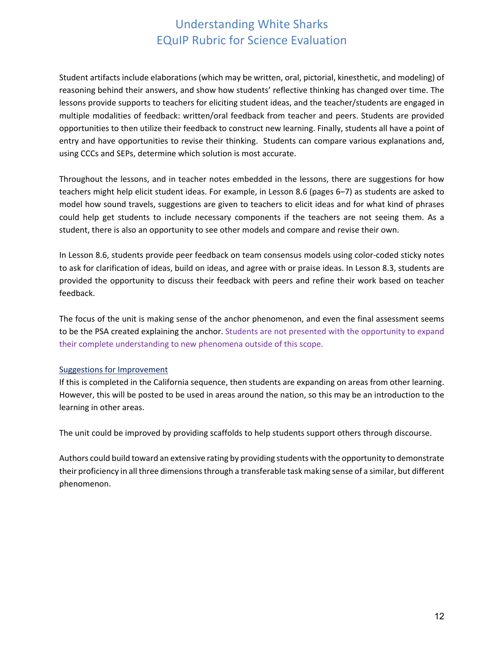Student artifacts include elaborations (which may be written, oral, pictorial, kinesthetic, and modeling) of reasoning behind their answers, and show how students' reflective thinking has changed over time. The lessons provide supports to teachers for eliciting student ideas, and the teacher/students are engaged in multiple modalities of feedback: written/oral feedback from teacher and peers. Students are provided opportunities to then utilize their feedback to construct new learning. Finally, students all have a point of entry and have opportunities to revise their thinking. Students can compare various explanations and, using CCCs and SEPs, determine which solution is most accurate.

Throughout the lessons, and in teacher notes embedded in the lessons, there are suggestions for how teachers might help elicit student ideas. For example, in Lesson 8.6 (pages 6–7) as students are asked to model how sound travels, suggestions are given to teachers to elicit ideas and for what kind of phrases could help get students to include necessary components if the teachers are not seeing them. As a student, there is also an opportunity to see other models and compare and revise their own.

In Lesson 8.6, students provide peer feedback on team consensus models using color-coded sticky notes to ask for clarification of ideas, build on ideas, and agree with or praise ideas. In Lesson 8.3, students are provided the opportunity to discuss their feedback with peers and refine their work based on teacher feedback.

The focus of the unit is making sense of the anchor phenomenon, and even the final assessment seems to be the PSA created explaining the anchor. Students are not presented with the opportunity to expand their complete understanding to new phenomena outside of this scope.

#### Suggestions for Improvement

If this is completed in the California sequence, then students are expanding on areas from other learning. However, this will be posted to be used in areas around the nation, so this may be an introduction to the learning in other areas.

The unit could be improved by providing scaffolds to help students support others through discourse.

Authors could build toward an extensive rating by providing students with the opportunity to demonstrate their proficiency in all three dimensions through a transferable task making sense of a similar, but different phenomenon.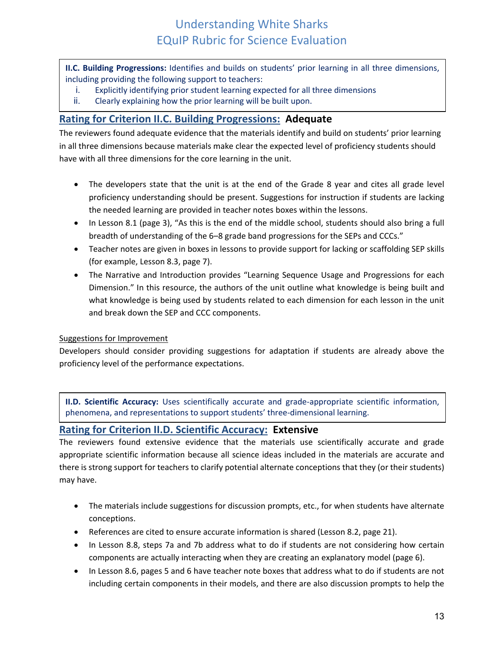**II.C. Building Progressions:** Identifies and builds on students' prior learning in all three dimensions, including providing the following support to teachers:

- i. Explicitly identifying prior student learning expected for all three dimensions
- ii. Clearly explaining how the prior learning will be built upon.

### **Rating for Criterion II.C. Building Progressions: Adequate**

The reviewers found adequate evidence that the materials identify and build on students' prior learning in all three dimensions because materials make clear the expected level of proficiency students should have with all three dimensions for the core learning in the unit.

- The developers state that the unit is at the end of the Grade 8 year and cites all grade level proficiency understanding should be present. Suggestions for instruction if students are lacking the needed learning are provided in teacher notes boxes within the lessons.
- In Lesson 8.1 (page 3), "As this is the end of the middle school, students should also bring a full breadth of understanding of the 6–8 grade band progressions for the SEPs and CCCs."
- Teacher notes are given in boxes in lessons to provide support for lacking or scaffolding SEP skills (for example, Lesson 8.3, page 7).
- The Narrative and Introduction provides "Learning Sequence Usage and Progressions for each Dimension." In this resource, the authors of the unit outline what knowledge is being built and what knowledge is being used by students related to each dimension for each lesson in the unit and break down the SEP and CCC components.

#### Suggestions for Improvement

Developers should consider providing suggestions for adaptation if students are already above the proficiency level of the performance expectations.

**II.D. Scientific Accuracy:** Uses scientifically accurate and grade-appropriate scientific information, phenomena, and representations to support students' three-dimensional learning.

### **Rating for Criterion II.D. Scientific Accuracy: Extensive**

The reviewers found extensive evidence that the materials use scientifically accurate and grade appropriate scientific information because all science ideas included in the materials are accurate and there is strong support for teachers to clarify potential alternate conceptions that they (or their students) may have.

- The materials include suggestions for discussion prompts, etc., for when students have alternate conceptions.
- References are cited to ensure accurate information is shared (Lesson 8.2, page 21).
- In Lesson 8.8, steps 7a and 7b address what to do if students are not considering how certain components are actually interacting when they are creating an explanatory model (page 6).
- In Lesson 8.6, pages 5 and 6 have teacher note boxes that address what to do if students are not including certain components in their models, and there are also discussion prompts to help the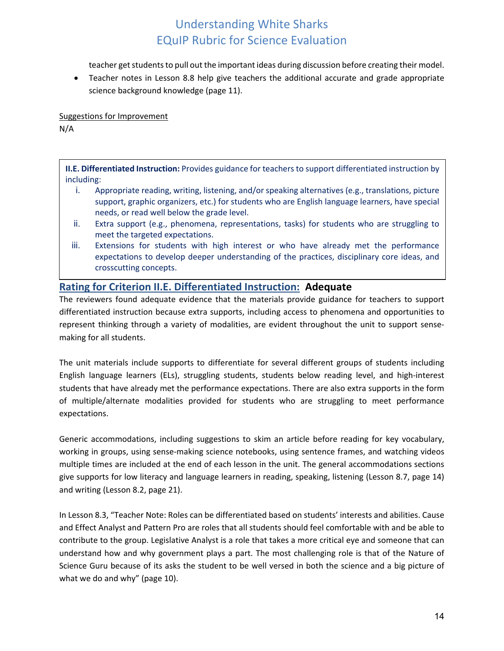teacher get students to pull out the important ideas during discussion before creating their model.

• Teacher notes in Lesson 8.8 help give teachers the additional accurate and grade appropriate science background knowledge (page 11).

Suggestions for Improvement

N/A

**II.E. Differentiated Instruction:** Provides guidance for teachers to support differentiated instruction by including:

- i. Appropriate reading, writing, listening, and/or speaking alternatives (e.g., translations, picture support, graphic organizers, etc.) for students who are English language learners, have special needs, or read well below the grade level.
- ii. Extra support (e.g., phenomena, representations, tasks) for students who are struggling to meet the targeted expectations.
- iii. Extensions for students with high interest or who have already met the performance expectations to develop deeper understanding of the practices, disciplinary core ideas, and crosscutting concepts.

### **Rating for Criterion II.E. Differentiated Instruction: Adequate**

The reviewers found adequate evidence that the materials provide guidance for teachers to support differentiated instruction because extra supports, including access to phenomena and opportunities to represent thinking through a variety of modalities, are evident throughout the unit to support sensemaking for all students.

The unit materials include supports to differentiate for several different groups of students including English language learners (ELs), struggling students, students below reading level, and high-interest students that have already met the performance expectations. There are also extra supports in the form of multiple/alternate modalities provided for students who are struggling to meet performance expectations.

Generic accommodations, including suggestions to skim an article before reading for key vocabulary, working in groups, using sense-making science notebooks, using sentence frames, and watching videos multiple times are included at the end of each lesson in the unit. The general accommodations sections give supports for low literacy and language learners in reading, speaking, listening (Lesson 8.7, page 14) and writing (Lesson 8.2, page 21).

In Lesson 8.3, "Teacher Note: Roles can be differentiated based on students' interests and abilities. Cause and Effect Analyst and Pattern Pro are roles that all students should feel comfortable with and be able to contribute to the group. Legislative Analyst is a role that takes a more critical eye and someone that can understand how and why government plays a part. The most challenging role is that of the Nature of Science Guru because of its asks the student to be well versed in both the science and a big picture of what we do and why" (page 10).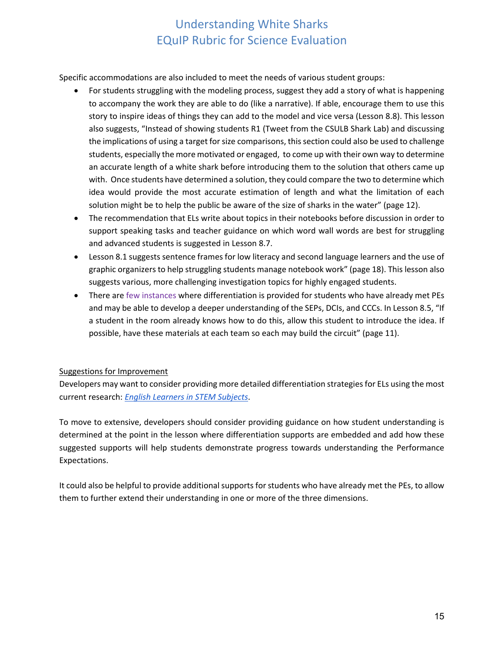Specific accommodations are also included to meet the needs of various student groups:

- For students struggling with the modeling process, suggest they add a story of what is happening to accompany the work they are able to do (like a narrative). If able, encourage them to use this story to inspire ideas of things they can add to the model and vice versa (Lesson 8.8). This lesson also suggests, "Instead of showing students R1 (Tweet from the CSULB Shark Lab) and discussing the implications of using a target for size comparisons, this section could also be used to challenge students, especially the more motivated or engaged, to come up with their own way to determine an accurate length of a white shark before introducing them to the solution that others came up with. Once students have determined a solution, they could compare the two to determine which idea would provide the most accurate estimation of length and what the limitation of each solution might be to help the public be aware of the size of sharks in the water" (page 12).
- The recommendation that ELs write about topics in their notebooks before discussion in order to support speaking tasks and teacher guidance on which word wall words are best for struggling and advanced students is suggested in Lesson 8.7.
- Lesson 8.1 suggests sentence frames for low literacy and second language learners and the use of graphic organizers to help struggling students manage notebook work" (page 18). This lesson also suggests various, more challenging investigation topics for highly engaged students.
- There are few instances where differentiation is provided for students who have already met PEs and may be able to develop a deeper understanding of the SEPs, DCIs, and CCCs. In Lesson 8.5, "If a student in the room already knows how to do this, allow this student to introduce the idea. If possible, have these materials at each team so each may build the circuit" (page 11).

### Suggestions for Improvement

Developers may want to consider providing more detailed differentiation strategies for ELs using the most current research: *[English Learners in STEM Subjects](https://www.nap.edu/catalog/25182/english-learners-in-stem-subjects-transforming-classrooms-schools-and-lives)*.

To move to extensive, developers should consider providing guidance on how student understanding is determined at the point in the lesson where differentiation supports are embedded and add how these suggested supports will help students demonstrate progress towards understanding the Performance Expectations.

It could also be helpful to provide additional supports for students who have already met the PEs, to allow them to further extend their understanding in one or more of the three dimensions.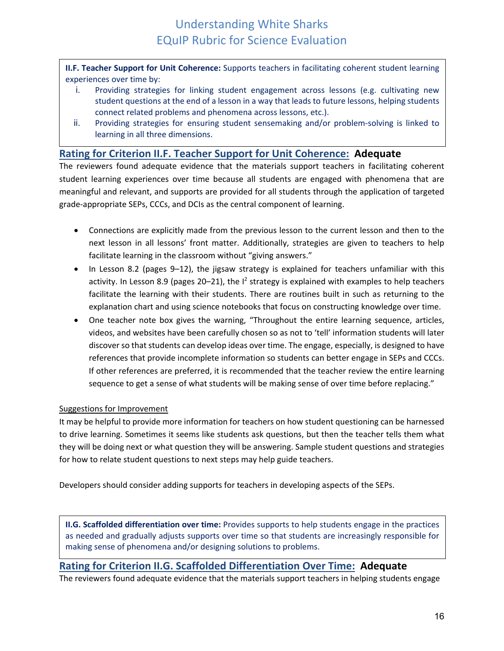**II.F. Teacher Support for Unit Coherence:** Supports teachers in facilitating coherent student learning experiences over time by:

- i. Providing strategies for linking student engagement across lessons (e.g. cultivating new student questions at the end of a lesson in a way that leads to future lessons, helping students connect related problems and phenomena across lessons, etc.).
- ii. Providing strategies for ensuring student sensemaking and/or problem-solving is linked to learning in all three dimensions.

### **Rating for Criterion II.F. Teacher Support for Unit Coherence: Adequate**

The reviewers found adequate evidence that the materials support teachers in facilitating coherent student learning experiences over time because all students are engaged with phenomena that are meaningful and relevant, and supports are provided for all students through the application of targeted grade-appropriate SEPs, CCCs, and DCIs as the central component of learning.

- Connections are explicitly made from the previous lesson to the current lesson and then to the next lesson in all lessons' front matter. Additionally, strategies are given to teachers to help facilitate learning in the classroom without "giving answers."
- In Lesson 8.2 (pages 9–12), the jigsaw strategy is explained for teachers unfamiliar with this activity. In Lesson 8.9 (pages 20–21), the  $I^2$  strategy is explained with examples to help teachers facilitate the learning with their students. There are routines built in such as returning to the explanation chart and using science notebooks that focus on constructing knowledge over time.
- One teacher note box gives the warning, "Throughout the entire learning sequence, articles, videos, and websites have been carefully chosen so as not to 'tell' information students will later discover so that students can develop ideas over time. The engage, especially, is designed to have references that provide incomplete information so students can better engage in SEPs and CCCs. If other references are preferred, it is recommended that the teacher review the entire learning sequence to get a sense of what students will be making sense of over time before replacing."

### Suggestions for Improvement

It may be helpful to provide more information for teachers on how student questioning can be harnessed to drive learning. Sometimes it seems like students ask questions, but then the teacher tells them what they will be doing next or what question they will be answering. Sample student questions and strategies for how to relate student questions to next steps may help guide teachers.

Developers should consider adding supports for teachers in developing aspects of the SEPs.

**II.G. Scaffolded differentiation over time:** Provides supports to help students engage in the practices as needed and gradually adjusts supports over time so that students are increasingly responsible for making sense of phenomena and/or designing solutions to problems.

### **Rating for Criterion II.G. Scaffolded Differentiation Over Time: Adequate**

The reviewers found adequate evidence that the materials support teachers in helping students engage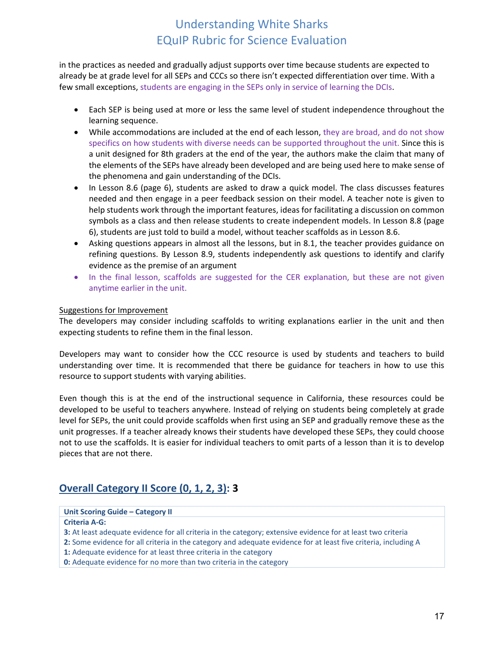in the practices as needed and gradually adjust supports over time because students are expected to already be at grade level for all SEPs and CCCs so there isn't expected differentiation over time. With a few small exceptions, students are engaging in the SEPs only in service of learning the DCIs.

- Each SEP is being used at more or less the same level of student independence throughout the learning sequence.
- While accommodations are included at the end of each lesson, they are broad, and do not show specifics on how students with diverse needs can be supported throughout the unit. Since this is a unit designed for 8th graders at the end of the year, the authors make the claim that many of the elements of the SEPs have already been developed and are being used here to make sense of the phenomena and gain understanding of the DCIs.
- In Lesson 8.6 (page 6), students are asked to draw a quick model. The class discusses features needed and then engage in a peer feedback session on their model. A teacher note is given to help students work through the important features, ideas for facilitating a discussion on common symbols as a class and then release students to create independent models. In Lesson 8.8 (page 6), students are just told to build a model, without teacher scaffolds as in Lesson 8.6.
- Asking questions appears in almost all the lessons, but in 8.1, the teacher provides guidance on refining questions. By Lesson 8.9, students independently ask questions to identify and clarify evidence as the premise of an argument
- In the final lesson, scaffolds are suggested for the CER explanation, but these are not given anytime earlier in the unit.

#### Suggestions for Improvement

The developers may consider including scaffolds to writing explanations earlier in the unit and then expecting students to refine them in the final lesson.

Developers may want to consider how the CCC resource is used by students and teachers to build understanding over time. It is recommended that there be guidance for teachers in how to use this resource to support students with varying abilities.

Even though this is at the end of the instructional sequence in California, these resources could be developed to be useful to teachers anywhere. Instead of relying on students being completely at grade level for SEPs, the unit could provide scaffolds when first using an SEP and gradually remove these as the unit progresses. If a teacher already knows their students have developed these SEPs, they could choose not to use the scaffolds. It is easier for individual teachers to omit parts of a lesson than it is to develop pieces that are not there.

### **Overall Category II Score (0, 1, 2, 3): 3**

#### **Unit Scoring Guide – Category II Criteria A‐G: 3:** At least adequate evidence for all criteria in the category; extensive evidence for at least two criteria **2:** Some evidence for all criteria in the category and adequate evidence for at least five criteria, including A

- **1:** Adequate evidence for at least three criteria in the category
- **0:** Adequate evidence for no more than two criteria in the category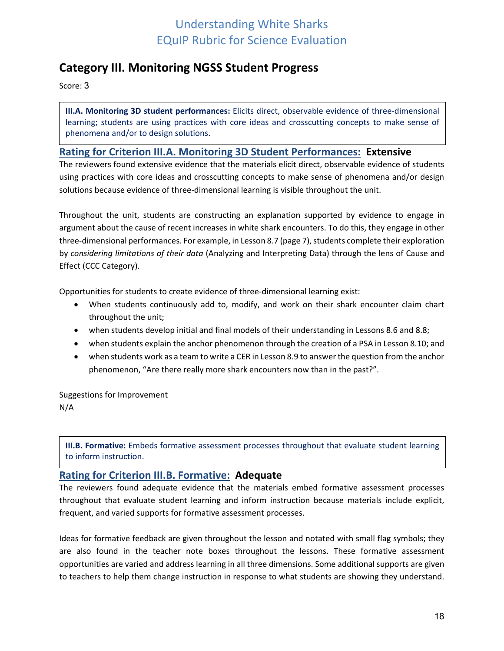## <span id="page-17-0"></span>**Category III. Monitoring NGSS Student Progress**

Score: 3

**III.A. Monitoring 3D student performances:** Elicits direct, observable evidence of three-dimensional learning; students are using practices with core ideas and crosscutting concepts to make sense of phenomena and/or to design solutions.

### **Rating for Criterion III.A. Monitoring 3D Student Performances: Extensive**

The reviewers found extensive evidence that the materials elicit direct, observable evidence of students using practices with core ideas and crosscutting concepts to make sense of phenomena and/or design solutions because evidence of three-dimensional learning is visible throughout the unit.

Throughout the unit, students are constructing an explanation supported by evidence to engage in argument about the cause of recent increases in white shark encounters. To do this, they engage in other three-dimensional performances. For example, in Lesson 8.7 (page 7), students complete their exploration by *considering limitations of their data* (Analyzing and Interpreting Data) through the lens of Cause and Effect (CCC Category).

Opportunities for students to create evidence of three-dimensional learning exist:

- When students continuously add to, modify, and work on their shark encounter claim chart throughout the unit;
- when students develop initial and final models of their understanding in Lessons 8.6 and 8.8;
- when students explain the anchor phenomenon through the creation of a PSA in Lesson 8.10; and
- when students work as a team to write a CER in Lesson 8.9 to answer the question from the anchor phenomenon, "Are there really more shark encounters now than in the past?".

#### Suggestions for Improvement

N/A

**III.B. Formative:** Embeds formative assessment processes throughout that evaluate student learning to inform instruction.

### **Rating for Criterion III.B. Formative: Adequate**

The reviewers found adequate evidence that the materials embed formative assessment processes throughout that evaluate student learning and inform instruction because materials include explicit, frequent, and varied supports for formative assessment processes.

Ideas for formative feedback are given throughout the lesson and notated with small flag symbols; they are also found in the teacher note boxes throughout the lessons. These formative assessment opportunities are varied and address learning in all three dimensions. Some additional supports are given to teachers to help them change instruction in response to what students are showing they understand.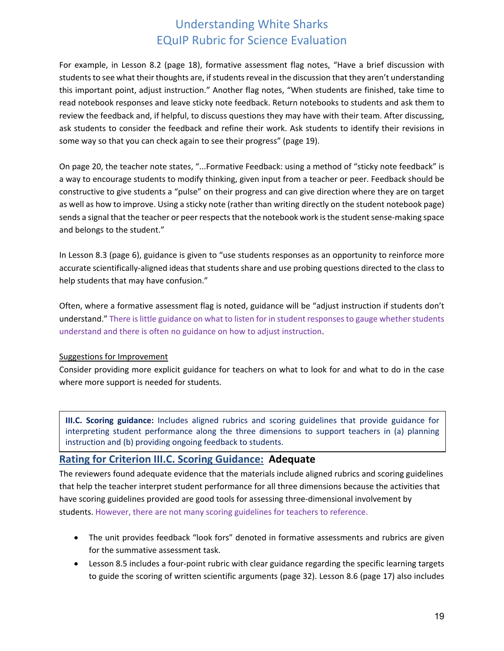For example, in Lesson 8.2 (page 18), formative assessment flag notes, "Have a brief discussion with students to see what their thoughts are, if students reveal in the discussion that they aren't understanding this important point, adjust instruction." Another flag notes, "When students are finished, take time to read notebook responses and leave sticky note feedback. Return notebooks to students and ask them to review the feedback and, if helpful, to discuss questions they may have with their team. After discussing, ask students to consider the feedback and refine their work. Ask students to identify their revisions in some way so that you can check again to see their progress" (page 19).

On page 20, the teacher note states, "...Formative Feedback: using a method of "sticky note feedback" is a way to encourage students to modify thinking, given input from a teacher or peer. Feedback should be constructive to give students a "pulse" on their progress and can give direction where they are on target as well as how to improve. Using a sticky note (rather than writing directly on the student notebook page) sends a signal that the teacher or peer respects that the notebook work is the student sense-making space and belongs to the student."

In Lesson 8.3 (page 6), guidance is given to "use students responses as an opportunity to reinforce more accurate scientifically-aligned ideas that students share and use probing questions directed to the class to help students that may have confusion."

Often, where a formative assessment flag is noted, guidance will be "adjust instruction if students don't understand." There is little guidance on what to listen for in student responses to gauge whether students understand and there is often no guidance on how to adjust instruction.

#### Suggestions for Improvement

Consider providing more explicit guidance for teachers on what to look for and what to do in the case where more support is needed for students.

**III.C. Scoring guidance:** Includes aligned rubrics and scoring guidelines that provide guidance for interpreting student performance along the three dimensions to support teachers in (a) planning instruction and (b) providing ongoing feedback to students.

### **Rating for Criterion III.C. Scoring Guidance: Adequate**

The reviewers found adequate evidence that the materials include aligned rubrics and scoring guidelines that help the teacher interpret student performance for all three dimensions because the activities that have scoring guidelines provided are good tools for assessing three-dimensional involvement by students. However, there are not many scoring guidelines for teachers to reference.

- The unit provides feedback "look fors" denoted in formative assessments and rubrics are given for the summative assessment task.
- Lesson 8.5 includes a four-point rubric with clear guidance regarding the specific learning targets to guide the scoring of written scientific arguments (page 32). Lesson 8.6 (page 17) also includes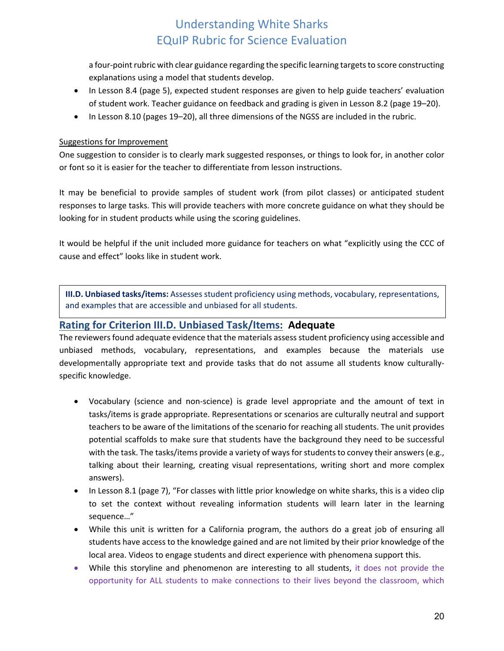a four-point rubric with clear guidance regarding the specific learning targets to score constructing explanations using a model that students develop.

- In Lesson 8.4 (page 5), expected student responses are given to help guide teachers' evaluation of student work. Teacher guidance on feedback and grading is given in Lesson 8.2 (page 19–20).
- In Lesson 8.10 (pages 19–20), all three dimensions of the NGSS are included in the rubric.

#### Suggestions for Improvement

One suggestion to consider is to clearly mark suggested responses, or things to look for, in another color or font so it is easier for the teacher to differentiate from lesson instructions.

It may be beneficial to provide samples of student work (from pilot classes) or anticipated student responses to large tasks. This will provide teachers with more concrete guidance on what they should be looking for in student products while using the scoring guidelines.

It would be helpful if the unit included more guidance for teachers on what "explicitly using the CCC of cause and effect" looks like in student work.

**III.D. Unbiased tasks/items:** Assesses student proficiency using methods, vocabulary, representations, and examples that are accessible and unbiased for all students.

### **Rating for Criterion III.D. Unbiased Task/Items: Adequate**

The reviewers found adequate evidence that the materials assess student proficiency using accessible and unbiased methods, vocabulary, representations, and examples because the materials use developmentally appropriate text and provide tasks that do not assume all students know culturallyspecific knowledge.

- Vocabulary (science and non-science) is grade level appropriate and the amount of text in tasks/items is grade appropriate. Representations or scenarios are culturally neutral and support teachers to be aware of the limitations of the scenario for reaching all students. The unit provides potential scaffolds to make sure that students have the background they need to be successful with the task. The tasks/items provide a variety of ways for students to convey their answers (e.g., talking about their learning, creating visual representations, writing short and more complex answers).
- In Lesson 8.1 (page 7), "For classes with little prior knowledge on white sharks, this is a video clip to set the context without revealing information students will learn later in the learning sequence…"
- While this unit is written for a California program, the authors do a great job of ensuring all students have access to the knowledge gained and are not limited by their prior knowledge of the local area. Videos to engage students and direct experience with phenomena support this.
- While this storyline and phenomenon are interesting to all students, it does not provide the opportunity for ALL students to make connections to their lives beyond the classroom, which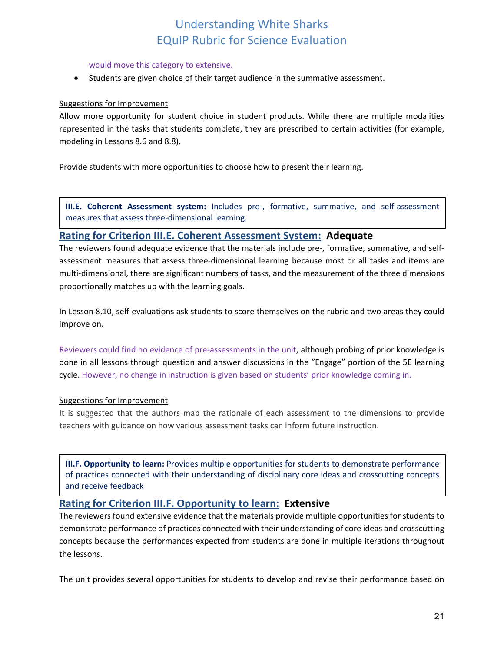#### would move this category to extensive.

• Students are given choice of their target audience in the summative assessment.

#### Suggestions for Improvement

Allow more opportunity for student choice in student products. While there are multiple modalities represented in the tasks that students complete, they are prescribed to certain activities (for example, modeling in Lessons 8.6 and 8.8).

Provide students with more opportunities to choose how to present their learning.

**III.E. Coherent Assessment system:** Includes pre-, formative, summative, and self-assessment measures that assess three-dimensional learning.

### **Rating for Criterion III.E. Coherent Assessment System: Adequate**

The reviewers found adequate evidence that the materials include pre-, formative, summative, and selfassessment measures that assess three-dimensional learning because most or all tasks and items are multi-dimensional, there are significant numbers of tasks, and the measurement of the three dimensions proportionally matches up with the learning goals.

In Lesson 8.10, self-evaluations ask students to score themselves on the rubric and two areas they could improve on.

Reviewers could find no evidence of pre-assessments in the unit, although probing of prior knowledge is done in all lessons through question and answer discussions in the "Engage" portion of the 5E learning cycle. However, no change in instruction is given based on students' prior knowledge coming in.

#### Suggestions for Improvement

It is suggested that the authors map the rationale of each assessment to the dimensions to provide teachers with guidance on how various assessment tasks can inform future instruction.

**III.F. Opportunity to learn:** Provides multiple opportunities for students to demonstrate performance of practices connected with their understanding of disciplinary core ideas and crosscutting concepts and receive feedback

### **Rating for Criterion III.F. Opportunity to learn: Extensive**

The reviewers found extensive evidence that the materials provide multiple opportunities for students to demonstrate performance of practices connected with their understanding of core ideas and crosscutting concepts because the performances expected from students are done in multiple iterations throughout the lessons.

The unit provides several opportunities for students to develop and revise their performance based on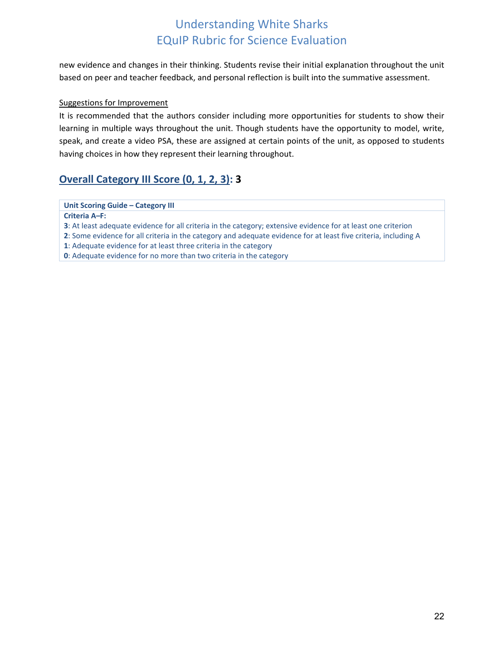new evidence and changes in their thinking. Students revise their initial explanation throughout the unit based on peer and teacher feedback, and personal reflection is built into the summative assessment.

#### Suggestions for Improvement

It is recommended that the authors consider including more opportunities for students to show their learning in multiple ways throughout the unit. Though students have the opportunity to model, write, speak, and create a video PSA, these are assigned at certain points of the unit, as opposed to students having choices in how they represent their learning throughout.

### **Overall Category III Score (0, 1, 2, 3): 3**

#### **Unit Scoring Guide – Category III**

**Criteria A***–***F:**

**3**: At least adequate evidence for all criteria in the category; extensive evidence for at least one criterion

**2**: Some evidence for all criteria in the category and adequate evidence for at least five criteria, including A

**1**: Adequate evidence for at least three criteria in the category

<span id="page-21-0"></span>**0**: Adequate evidence for no more than two criteria in the category